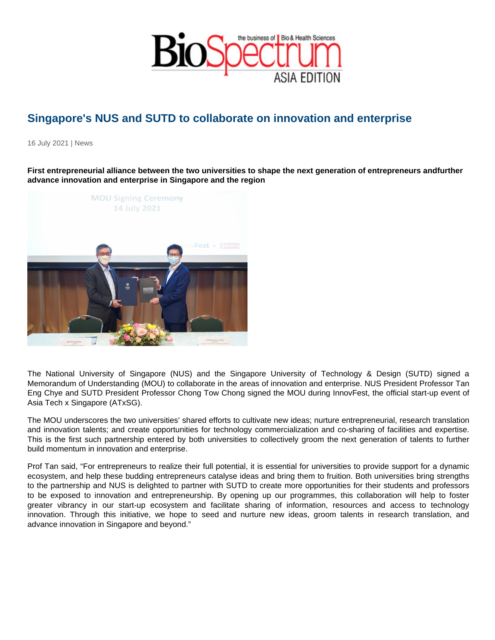# Singapore's NUS and SUTD to collaborate on innovation and enterprise

16 July 2021 | News

First entrepreneurial alliance between the two universities to shape the next generation of entrepreneurs and further advance innovation and enterprise in Singapore and the region

The National University of Singapore (NUS) and the Singapore University of Technology & Design (SUTD) signed a Memorandum of Understanding (MOU) to collaborate in the areas of innovation and enterprise. NUS President Professor Tan Eng Chye and SUTD President Professor Chong Tow Chong signed the MOU during InnovFest, the official start-up event of Asia Tech x Singapore (ATxSG).

The MOU underscores the two universities' shared efforts to cultivate new ideas; nurture entrepreneurial, research translation and innovation talents; and create opportunities for technology commercialization and co-sharing of facilities and expertise. This is the first such partnership entered by both universities to collectively groom the next generation of talents to further build momentum in innovation and enterprise.

Prof Tan said, "For entrepreneurs to realize their full potential, it is essential for universities to provide support for a dynamic ecosystem, and help these budding entrepreneurs catalyse ideas and bring them to fruition. Both universities bring strengths to the partnership and NUS is delighted to partner with SUTD to create more opportunities for their students and professors to be exposed to innovation and entrepreneurship. By opening up our programmes, this collaboration will help to foster greater vibrancy in our start-up ecosystem and facilitate sharing of information, resources and access to technology innovation. Through this initiative, we hope to seed and nurture new ideas, groom talents in research translation, and advance innovation in Singapore and beyond."